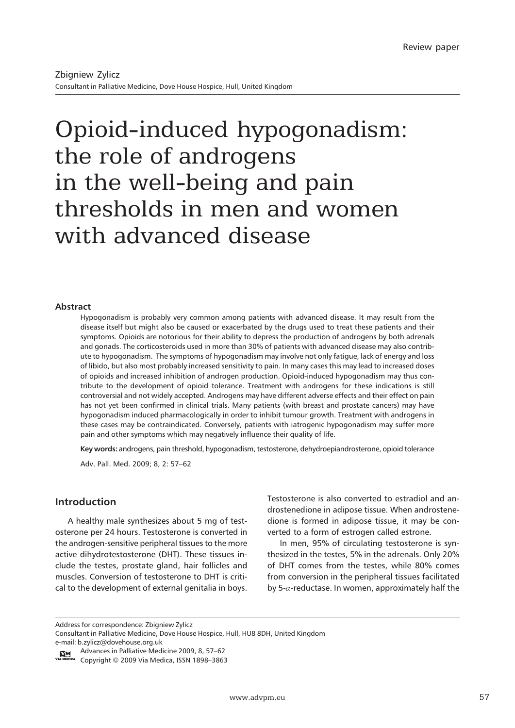# Opioid-induced hypogonadism: the role of androgens in the well-being and pain thresholds in men and women with advanced disease

#### **Abstract**

Hypogonadism is probably very common among patients with advanced disease. It may result from the disease itself but might also be caused or exacerbated by the drugs used to treat these patients and their symptoms. Opioids are notorious for their ability to depress the production of androgens by both adrenals and gonads. The corticosteroids used in more than 30% of patients with advanced disease may also contribute to hypogonadism. The symptoms of hypogonadism may involve not only fatigue, lack of energy and loss of libido, but also most probably increased sensitivity to pain. In many cases this may lead to increased doses of opioids and increased inhibition of androgen production. Opioid-induced hypogonadism may thus contribute to the development of opioid tolerance. Treatment with androgens for these indications is still controversial and not widely accepted. Androgens may have different adverse effects and their effect on pain has not yet been confirmed in clinical trials. Many patients (with breast and prostate cancers) may have hypogonadism induced pharmacologically in order to inhibit tumour growth. Treatment with androgens in these cases may be contraindicated. Conversely, patients with iatrogenic hypogonadism may suffer more pain and other symptoms which may negatively influence their quality of life.

**Key words:** androgens, pain threshold, hypogonadism, testosterone, dehydroepiandrosterone, opioid tolerance Adv. Pall. Med. 2009; 8, 2: 57–62

#### **Introduction**

A healthy male synthesizes about 5 mg of testosterone per 24 hours. Testosterone is converted in the androgen-sensitive peripheral tissues to the more active dihydrotestosterone (DHT). These tissues include the testes, prostate gland, hair follicles and muscles. Conversion of testosterone to DHT is critical to the development of external genitalia in boys.

Testosterone is also converted to estradiol and androstenedione in adipose tissue. When androstenedione is formed in adipose tissue, it may be converted to a form of estrogen called estrone.

In men, 95% of circulating testosterone is synthesized in the testes, 5% in the adrenals. Only 20% of DHT comes from the testes, while 80% comes from conversion in the peripheral tissues facilitated by 5- $\alpha$ -reductase. In women, approximately half the

Address for correspondence: Zbigniew Zylicz

e-mail: b.zylicz@dovehouse.org.uk

Ica Copyright © 2009 Via Medica, ISSN 1898-3863

Consultant in Palliative Medicine, Dove House Hospice, Hull, HU8 8DH, United Kingdom

Advances in Palliative Medicine 2009, 8, 57–62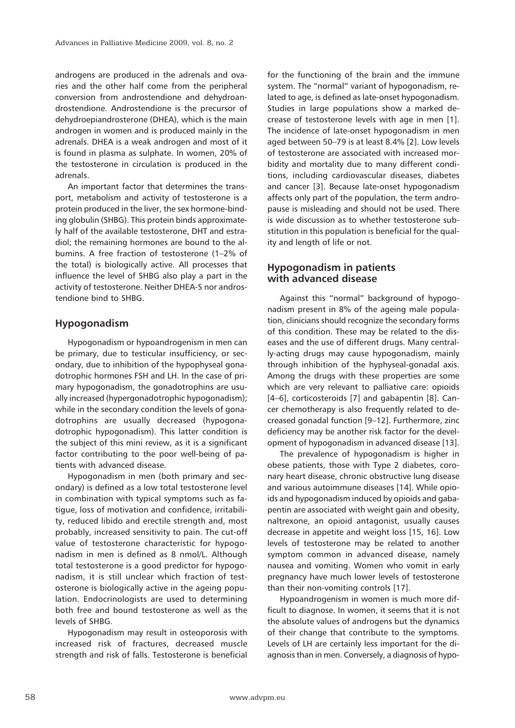androgens are produced in the adrenals and ovaries and the other half come from the peripheral conversion from androstendione and dehydroandrostendione. Androstendione is the precursor of dehydroepiandrosterone (DHEA), which is the main androgen in women and is produced mainly in the adrenals. DHEA is a weak androgen and most of it is found in plasma as sulphate. In women, 20% of the testosterone in circulation is produced in the adrenals.

An important factor that determines the transport, metabolism and activity of testosterone is a protein produced in the liver, the sex hormone-binding globulin (SHBG). This protein binds approximately half of the available testosterone, DHT and estradiol; the remaining hormones are bound to the albumins. A free fraction of testosterone (1–2% of the total) is biologically active. All processes that influence the level of SHBG also play a part in the activity of testosterone. Neither DHEA-S nor androstendione bind to SHBG.

#### **Hypogonadism**

Hypogonadism or hypoandrogenism in men can be primary, due to testicular insufficiency, or secondary, due to inhibition of the hypophyseal gonadotrophic hormones FSH and LH. In the case of primary hypogonadism, the gonadotrophins are usually increased (hypergonadotrophic hypogonadism); while in the secondary condition the levels of gonadotrophins are usually decreased (hypogonadotrophic hypogonadism). This latter condition is the subject of this mini review, as it is a significant factor contributing to the poor well-being of patients with advanced disease.

Hypogonadism in men (both primary and secondary) is defined as a low total testosterone level in combination with typical symptoms such as fatigue, loss of motivation and confidence, irritability, reduced libido and erectile strength and, most probably, increased sensitivity to pain. The cut-off value of testosterone characteristic for hypogonadism in men is defined as 8 nmol/L. Although total testosterone is a good predictor for hypogonadism, it is still unclear which fraction of testosterone is biologically active in the ageing population. Endocrinologists are used to determining both free and bound testosterone as well as the levels of SHBG.

Hypogonadism may result in osteoporosis with increased risk of fractures, decreased muscle strength and risk of falls. Testosterone is beneficial for the functioning of the brain and the immune system. The "normal" variant of hypogonadism, related to age, is defined as late-onset hypogonadism. Studies in large populations show a marked decrease of testosterone levels with age in men [1]. The incidence of late-onset hypogonadism in men aged between 50–79 is at least 8.4% [2]. Low levels of testosterone are associated with increased morbidity and mortality due to many different conditions, including cardiovascular diseases, diabetes and cancer [3]. Because late-onset hypogonadism affects only part of the population, the term andropause is misleading and should not be used. There is wide discussion as to whether testosterone substitution in this population is beneficial for the quality and length of life or not.

# **Hypogonadism in patients with advanced disease**

Against this "normal" background of hypogonadism present in 8% of the ageing male population, clinicians should recognize the secondary forms of this condition. These may be related to the diseases and the use of different drugs. Many centrally-acting drugs may cause hypogonadism, mainly through inhibition of the hyphyseal-gonadal axis. Among the drugs with these properties are some which are very relevant to palliative care: opioids [4–6], corticosteroids [7] and gabapentin [8]. Cancer chemotherapy is also frequently related to decreased gonadal function [9–12]. Furthermore, zinc deficiency may be another risk factor for the development of hypogonadism in advanced disease [13].

The prevalence of hypogonadism is higher in obese patients, those with Type 2 diabetes, coronary heart disease, chronic obstructive lung disease and various autoimmune diseases [14]. While opioids and hypogonadism induced by opioids and gabapentin are associated with weight gain and obesity, naltrexone, an opioid antagonist, usually causes decrease in appetite and weight loss [15, 16]. Low levels of testosterone may be related to another symptom common in advanced disease, namely nausea and vomiting. Women who vomit in early pregnancy have much lower levels of testosterone than their non-vomiting controls [17].

Hypoandrogenism in women is much more difficult to diagnose. In women, it seems that it is not the absolute values of androgens but the dynamics of their change that contribute to the symptoms. Levels of LH are certainly less important for the diagnosis than in men. Conversely, a diagnosis of hypo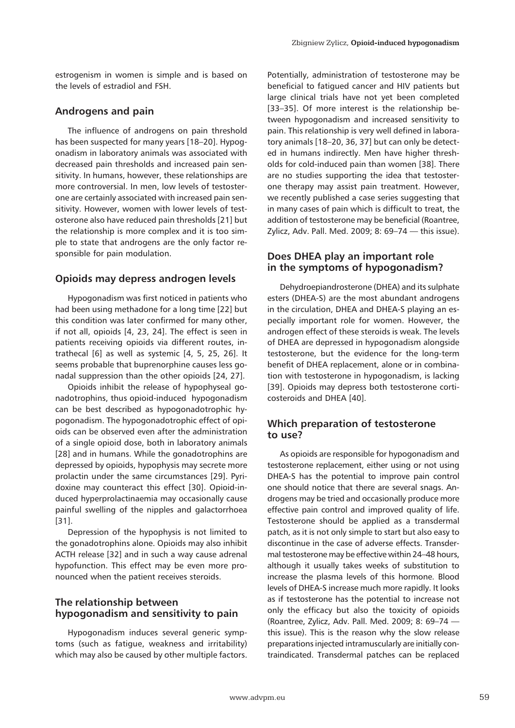estrogenism in women is simple and is based on the levels of estradiol and FSH.

## **Androgens and pain**

The influence of androgens on pain threshold has been suspected for many years [18–20]. Hypogonadism in laboratory animals was associated with decreased pain thresholds and increased pain sensitivity. In humans, however, these relationships are more controversial. In men, low levels of testosterone are certainly associated with increased pain sensitivity. However, women with lower levels of testosterone also have reduced pain thresholds [21] but the relationship is more complex and it is too simple to state that androgens are the only factor responsible for pain modulation.

## **Opioids may depress androgen levels**

Hypogonadism was first noticed in patients who had been using methadone for a long time [22] but this condition was later confirmed for many other, if not all, opioids [4, 23, 24]. The effect is seen in patients receiving opioids via different routes, intrathecal [6] as well as systemic [4, 5, 25, 26]. It seems probable that buprenorphine causes less gonadal suppression than the other opioids [24, 27].

Opioids inhibit the release of hypophyseal gonadotrophins, thus opioid-induced hypogonadism can be best described as hypogonadotrophic hypogonadism. The hypogonadotrophic effect of opioids can be observed even after the administration of a single opioid dose, both in laboratory animals [28] and in humans. While the gonadotrophins are depressed by opioids, hypophysis may secrete more prolactin under the same circumstances [29]. Pyridoxine may counteract this effect [30]. Opioid-induced hyperprolactinaemia may occasionally cause painful swelling of the nipples and galactorrhoea [31].

Depression of the hypophysis is not limited to the gonadotrophins alone. Opioids may also inhibit ACTH release [32] and in such a way cause adrenal hypofunction. This effect may be even more pronounced when the patient receives steroids.

# **The relationship between hypogonadism and sensitivity to pain**

Hypogonadism induces several generic symptoms (such as fatigue, weakness and irritability) which may also be caused by other multiple factors.

Potentially, administration of testosterone may be beneficial to fatigued cancer and HIV patients but large clinical trials have not yet been completed [33–35]. Of more interest is the relationship between hypogonadism and increased sensitivity to pain. This relationship is very well defined in laboratory animals [18–20, 36, 37] but can only be detected in humans indirectly. Men have higher thresholds for cold-induced pain than women [38]. There are no studies supporting the idea that testosterone therapy may assist pain treatment. However, we recently published a case series suggesting that in many cases of pain which is difficult to treat, the addition of testosterone may be beneficial (Roantree, Zylicz, Adv. Pall. Med. 2009; 8: 69–74 — this issue).

# **Does DHEA play an important role in the symptoms of hypogonadism?**

Dehydroepiandrosterone (DHEA) and its sulphate esters (DHEA-S) are the most abundant androgens in the circulation, DHEA and DHEA-S playing an especially important role for women. However, the androgen effect of these steroids is weak. The levels of DHEA are depressed in hypogonadism alongside testosterone, but the evidence for the long-term benefit of DHEA replacement, alone or in combination with testosterone in hypogonadism, is lacking [39]. Opioids may depress both testosterone corticosteroids and DHEA [40].

## **Which preparation of testosterone to use?**

As opioids are responsible for hypogonadism and testosterone replacement, either using or not using DHEA-S has the potential to improve pain control one should notice that there are several snags. Androgens may be tried and occasionally produce more effective pain control and improved quality of life. Testosterone should be applied as a transdermal patch, as it is not only simple to start but also easy to discontinue in the case of adverse effects. Transdermal testosterone may be effective within 24–48 hours, although it usually takes weeks of substitution to increase the plasma levels of this hormone. Blood levels of DHEA-S increase much more rapidly. It looks as if testosterone has the potential to increase not only the efficacy but also the toxicity of opioids (Roantree, Zylicz, Adv. Pall. Med. 2009; 8: 69–74 this issue). This is the reason why the slow release preparations injected intramuscularly are initially contraindicated. Transdermal patches can be replaced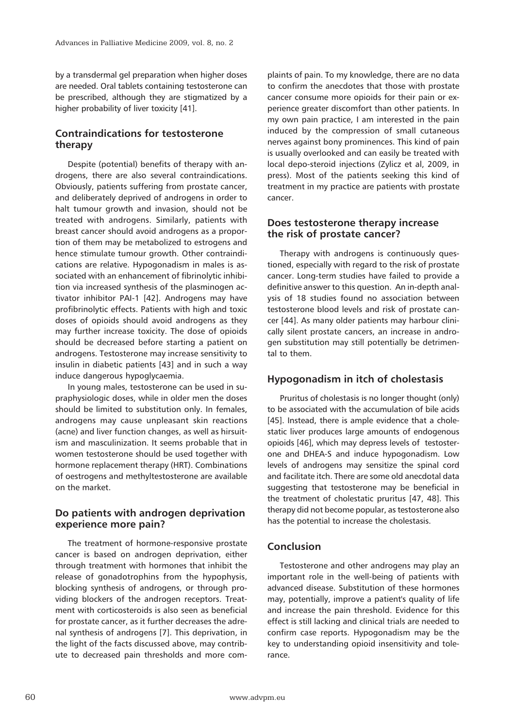by a transdermal gel preparation when higher doses are needed. Oral tablets containing testosterone can be prescribed, although they are stigmatized by a higher probability of liver toxicity [41].

# **Contraindications for testosterone therapy**

Despite (potential) benefits of therapy with androgens, there are also several contraindications. Obviously, patients suffering from prostate cancer, and deliberately deprived of androgens in order to halt tumour growth and invasion, should not be treated with androgens. Similarly, patients with breast cancer should avoid androgens as a proportion of them may be metabolized to estrogens and hence stimulate tumour growth. Other contraindications are relative. Hypogonadism in males is associated with an enhancement of fibrinolytic inhibition via increased synthesis of the plasminogen activator inhibitor PAI-1 [42]. Androgens may have profibrinolytic effects. Patients with high and toxic doses of opioids should avoid androgens as they may further increase toxicity. The dose of opioids should be decreased before starting a patient on androgens. Testosterone may increase sensitivity to insulin in diabetic patients [43] and in such a way induce dangerous hypoglycaemia.

In young males, testosterone can be used in supraphysiologic doses, while in older men the doses should be limited to substitution only. In females, androgens may cause unpleasant skin reactions (acne) and liver function changes, as well as hirsuitism and masculinization. It seems probable that in women testosterone should be used together with hormone replacement therapy (HRT). Combinations of oestrogens and methyltestosterone are available on the market.

## **Do patients with androgen deprivation experience more pain?**

The treatment of hormone-responsive prostate cancer is based on androgen deprivation, either through treatment with hormones that inhibit the release of gonadotrophins from the hypophysis, blocking synthesis of androgens, or through providing blockers of the androgen receptors. Treatment with corticosteroids is also seen as beneficial for prostate cancer, as it further decreases the adrenal synthesis of androgens [7]. This deprivation, in the light of the facts discussed above, may contribute to decreased pain thresholds and more complaints of pain. To my knowledge, there are no data to confirm the anecdotes that those with prostate cancer consume more opioids for their pain or experience greater discomfort than other patients. In my own pain practice, I am interested in the pain induced by the compression of small cutaneous nerves against bony prominences. This kind of pain is usually overlooked and can easily be treated with local depo-steroid injections (Zylicz et al, 2009, in press). Most of the patients seeking this kind of treatment in my practice are patients with prostate cancer.

## **Does testosterone therapy increase the risk of prostate cancer?**

Therapy with androgens is continuously questioned, especially with regard to the risk of prostate cancer. Long-term studies have failed to provide a definitive answer to this question. An in-depth analysis of 18 studies found no association between testosterone blood levels and risk of prostate cancer [44]. As many older patients may harbour clinically silent prostate cancers, an increase in androgen substitution may still potentially be detrimental to them.

#### **Hypogonadism in itch of cholestasis**

Pruritus of cholestasis is no longer thought (only) to be associated with the accumulation of bile acids [45]. Instead, there is ample evidence that a cholestatic liver produces large amounts of endogenous opioids [46], which may depress levels of testosterone and DHEA-S and induce hypogonadism. Low levels of androgens may sensitize the spinal cord and facilitate itch. There are some old anecdotal data suggesting that testosterone may be beneficial in the treatment of cholestatic pruritus [47, 48]. This therapy did not become popular, as testosterone also has the potential to increase the cholestasis.

#### **Conclusion**

Testosterone and other androgens may play an important role in the well-being of patients with advanced disease. Substitution of these hormones may, potentially, improve a patient's quality of life and increase the pain threshold. Evidence for this effect is still lacking and clinical trials are needed to confirm case reports. Hypogonadism may be the key to understanding opioid insensitivity and tolerance.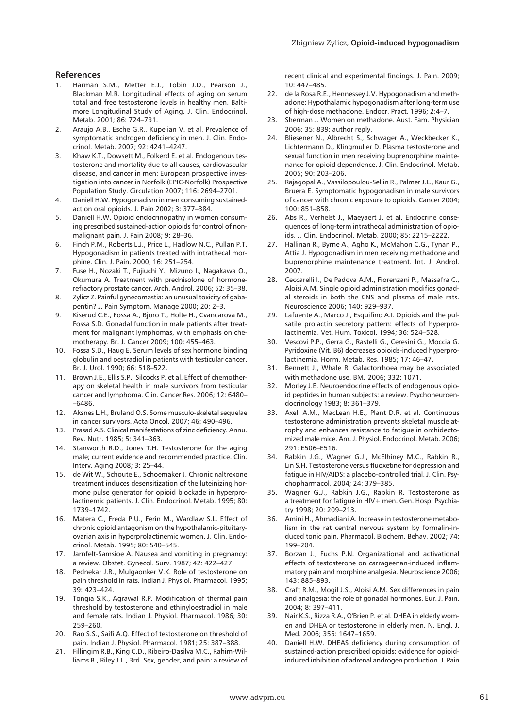#### **References**

- 1. Harman S.M., Metter E.J., Tobin J.D., Pearson J., Blackman M.R. Longitudinal effects of aging on serum total and free testosterone levels in healthy men. Baltimore Longitudinal Study of Aging. J. Clin. Endocrinol. Metab. 2001; 86: 724–731.
- 2. Araujo A.B., Esche G.R., Kupelian V. et al. Prevalence of symptomatic androgen deficiency in men. J. Clin. Endocrinol. Metab. 2007; 92: 4241–4247.
- 3. Khaw K.T., Dowsett M., Folkerd E. et al. Endogenous testosterone and mortality due to all causes, cardiovascular disease, and cancer in men: European prospective investigation into cancer in Norfolk (EPIC-Norfolk) Prospective Population Study. Circulation 2007; 116: 2694–2701.
- 4. Daniell H.W. Hypogonadism in men consuming sustainedaction oral opioids. J. Pain 2002; 3: 377–384.
- 5. Daniell H.W. Opioid endocrinopathy in women consuming prescribed sustained-action opioids for control of nonmalignant pain. J. Pain 2008; 9: 28–36.
- 6. Finch P.M., Roberts L.J., Price L., Hadlow N.C., Pullan P.T. Hypogonadism in patients treated with intrathecal morphine. Clin. J. Pain. 2000; 16: 251–254.
- 7. Fuse H., Nozaki T., Fujiuchi Y., Mizuno I., Nagakawa O., Okumura A. Treatment with prednisolone of hormonerefractory prostate cancer. Arch. Androl. 2006; 52: 35–38.
- 8. Zylicz Z. Painful gynecomastia: an unusual toxicity of gabapentin? J. Pain Symptom. Manage 2000; 20: 2–3.
- 9. Kiserud C.E., Fossa A., Bjoro T., Holte H., Cvancarova M., Fossa S.D. Gonadal function in male patients after treatment for malignant lymphomas, with emphasis on chemotherapy. Br. J. Cancer 2009; 100: 455–463.
- 10. Fossa S.D., Haug E. Serum levels of sex hormone binding globulin and oestradiol in patients with testicular cancer. Br. J. Urol. 1990; 66: 518–522.
- 11. Brown J.E., Ellis S.P., Silcocks P. et al. Effect of chemotherapy on skeletal health in male survivors from testicular cancer and lymphoma. Clin. Cancer Res. 2006; 12: 6480– –6486.
- 12. Aksnes L.H., Bruland O.S. Some musculo-skeletal sequelae in cancer survivors. Acta Oncol. 2007; 46: 490–496.
- 13. Prasad A.S. Clinical manifestations of zinc deficiency. Annu. Rev. Nutr. 1985; 5: 341–363.
- 14. Stanworth R.D., Jones T.H. Testosterone for the aging male; current evidence and recommended practice. Clin. Interv. Aging 2008; 3: 25–44.
- 15. de Wit W., Schoute E., Schoemaker J. Chronic naltrexone treatment induces desensitization of the luteinizing hormone pulse generator for opioid blockade in hyperprolactinemic patients. J. Clin. Endocrinol. Metab. 1995; 80: 1739–1742.
- 16. Matera C., Freda P.U., Ferin M., Wardlaw S.L. Effect of chronic opioid antagonism on the hypothalamic-pituitaryovarian axis in hyperprolactinemic women. J. Clin. Endocrinol. Metab. 1995; 80: 540–545.
- 17. Jarnfelt-Samsioe A. Nausea and vomiting in pregnancy: a review. Obstet. Gynecol. Surv. 1987; 42: 422–427.
- 18. Pednekar J.R., Mulgaonker V.K. Role of testosterone on pain threshold in rats. Indian J. Physiol. Pharmacol. 1995; 39: 423–424.
- 19. Tongia S.K., Agrawal R.P. Modification of thermal pain threshold by testosterone and ethinyloestradiol in male and female rats. Indian J. Physiol. Pharmacol. 1986; 30: 259–260.
- 20. Rao S.S., Saifi A.Q. Effect of testosterone on threshold of pain. Indian J. Physiol. Pharmacol. 1981; 25: 387–388.
- 21. Fillingim R.B., King C.D., Ribeiro-Dasilva M.C., Rahim-Williams B., Riley J.L., 3rd. Sex, gender, and pain: a review of

recent clinical and experimental findings. J. Pain. 2009; 10: 447–485.

- 22. de la Rosa R.E., Hennessey J.V. Hypogonadism and methadone: Hypothalamic hypogonadism after long-term use of high-dose methadone. Endocr. Pract. 1996; 2:4–7.
- 23. Sherman J. Women on methadone. Aust. Fam. Physician 2006; 35: 839; author reply.
- 24. Bliesener N., Albrecht S., Schwager A., Weckbecker K., Lichtermann D., Klingmuller D. Plasma testosterone and sexual function in men receiving buprenorphine maintenance for opioid dependence. J. Clin. Endocrinol. Metab. 2005; 90: 203–206.
- 25. Rajagopal A., Vassilopoulou-Sellin R., Palmer J.L., Kaur G., Bruera E. Symptomatic hypogonadism in male survivors of cancer with chronic exposure to opioids. Cancer 2004; 100: 851–858.
- 26. Abs R., Verhelst J., Maeyaert J. et al. Endocrine consequences of long-term intrathecal administration of opioids. J. Clin. Endocrinol. Metab. 2000; 85: 2215–2222.
- 27. Hallinan R., Byrne A., Agho K., McMahon C.G., Tynan P., Attia J. Hypogonadism in men receiving methadone and buprenorphine maintenance treatment. Int. J. Androl. 2007.
- 28. Ceccarelli I., De Padova A.M., Fiorenzani P., Massafra C., Aloisi A.M. Single opioid administration modifies gonadal steroids in both the CNS and plasma of male rats. Neuroscience 2006; 140: 929–937.
- 29. Lafuente A., Marco J., Esquifino A.I. Opioids and the pulsatile prolactin secretory pattern: effects of hyperprolactinemia. Vet. Hum. Toxicol. 1994; 36: 524–528.
- 30. Vescovi P.P., Gerra G., Rastelli G., Ceresini G., Moccia G. Pyridoxine (Vit. B6) decreases opioids-induced hyperprolactinemia. Horm. Metab. Res. 1985; 17: 46–47.
- 31. Bennett J., Whale R. Galactorrhoea may be associated with methadone use. BMJ 2006; 332: 1071.
- 32. Morley J.E. Neuroendocrine effects of endogenous opioid peptides in human subjects: a review. Psychoneuroendocrinology 1983; 8: 361–379.
- 33. Axell A.M., MacLean H.E., Plant D.R. et al. Continuous testosterone administration prevents skeletal muscle atrophy and enhances resistance to fatigue in orchidectomized male mice. Am. J. Physiol. Endocrinol. Metab. 2006; 291: E506–E516.
- 34. Rabkin J.G., Wagner G.J., McElhiney M.C., Rabkin R., Lin S.H. Testosterone versus fluoxetine for depression and fatigue in HIV/AIDS: a placebo-controlled trial. J. Clin. Psychopharmacol. 2004; 24: 379–385.
- 35. Wagner G.J., Rabkin J.G., Rabkin R. Testosterone as a treatment for fatigue in HIV+ men. Gen. Hosp. Psychiatry 1998; 20: 209–213.
- 36. Amini H., Ahmadiani A. Increase in testosterone metabolism in the rat central nervous system by formalin-induced tonic pain. Pharmacol. Biochem. Behav. 2002; 74: 199–204.
- 37. Borzan J., Fuchs P.N. Organizational and activational effects of testosterone on carrageenan-induced inflammatory pain and morphine analgesia. Neuroscience 2006; 143: 885–893.
- 38. Craft R.M., Mogil J.S., Aloisi A.M. Sex differences in pain and analgesia: the role of gonadal hormones. Eur. J. Pain. 2004; 8: 397–411.
- 39. Nair K.S., Rizza R.A., O'Brien P. et al. DHEA in elderly women and DHEA or testosterone in elderly men. N. Engl. J. Med. 2006; 355: 1647–1659.
- 40. Daniell H.W. DHEAS deficiency during consumption of sustained-action prescribed opioids: evidence for opioidinduced inhibition of adrenal androgen production. J. Pain